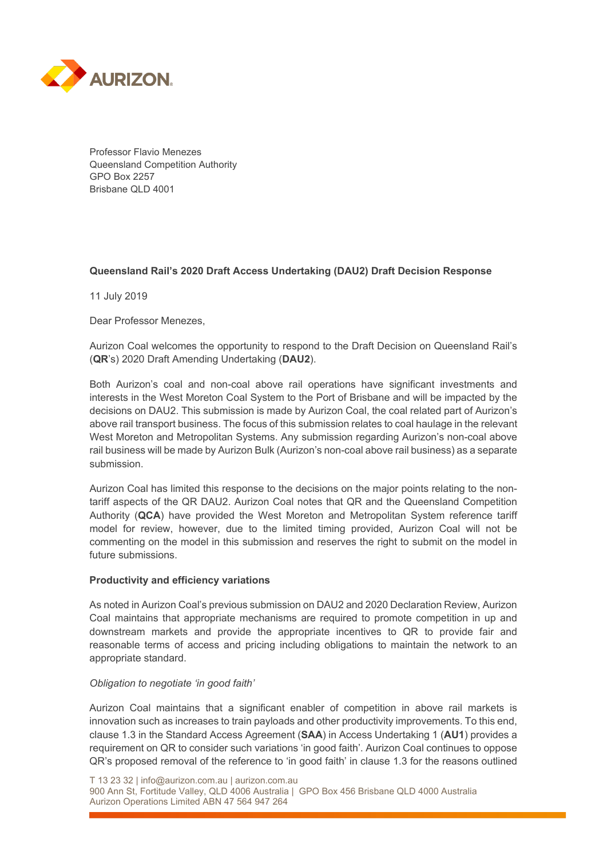

Professor Flavio Menezes Queensland Competition Authority GPO Box 2257 Brisbane QLD 4001

## **Queensland Rail's 2020 Draft Access Undertaking (DAU2) Draft Decision Response**

11 July 2019

Dear Professor Menezes,

Aurizon Coal welcomes the opportunity to respond to the Draft Decision on Queensland Rail's (**QR**'s) 2020 Draft Amending Undertaking (**DAU2**).

Both Aurizon's coal and non-coal above rail operations have significant investments and interests in the West Moreton Coal System to the Port of Brisbane and will be impacted by the decisions on DAU2. This submission is made by Aurizon Coal, the coal related part of Aurizon's above rail transport business. The focus of this submission relates to coal haulage in the relevant West Moreton and Metropolitan Systems. Any submission regarding Aurizon's non-coal above rail business will be made by Aurizon Bulk (Aurizon's non-coal above rail business) as a separate submission.

Aurizon Coal has limited this response to the decisions on the major points relating to the nontariff aspects of the QR DAU2. Aurizon Coal notes that QR and the Queensland Competition Authority (**QCA**) have provided the West Moreton and Metropolitan System reference tariff model for review, however, due to the limited timing provided, Aurizon Coal will not be commenting on the model in this submission and reserves the right to submit on the model in future submissions.

#### **Productivity and efficiency variations**

As noted in Aurizon Coal's previous submission on DAU2 and 2020 Declaration Review, Aurizon Coal maintains that appropriate mechanisms are required to promote competition in up and downstream markets and provide the appropriate incentives to QR to provide fair and reasonable terms of access and pricing including obligations to maintain the network to an appropriate standard.

#### *Obligation to negotiate 'in good faith'*

Aurizon Coal maintains that a significant enabler of competition in above rail markets is innovation such as increases to train payloads and other productivity improvements. To this end, clause 1.3 in the Standard Access Agreement (**SAA**) in Access Undertaking 1 (**AU1**) provides a requirement on QR to consider such variations 'in good faith'. Aurizon Coal continues to oppose QR's proposed removal of the reference to 'in good faith' in clause 1.3 for the reasons outlined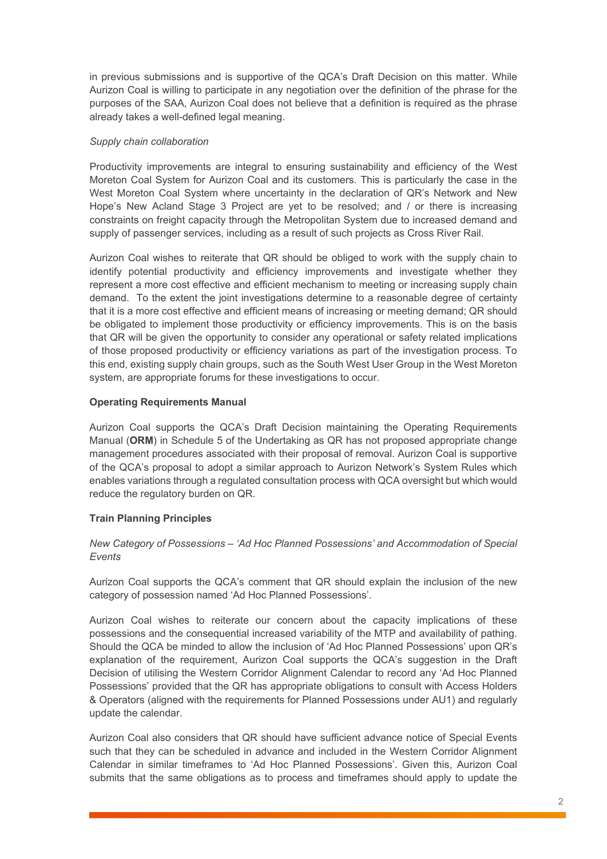in previous submissions and is supportive of the QCA's Draft Decision on this matter. While Aurizon Coal is willing to participate in any negotiation over the definition of the phrase for the purposes of the SAA, Aurizon Coal does not believe that a definition is required as the phrase already takes a well-defined legal meaning.

## *Supply chain collaboration*

Productivity improvements are integral to ensuring sustainability and efficiency of the West Moreton Coal System for Aurizon Coal and its customers. This is particularly the case in the West Moreton Coal System where uncertainty in the declaration of QR's Network and New Hope's New Acland Stage 3 Project are yet to be resolved; and / or there is increasing constraints on freight capacity through the Metropolitan System due to increased demand and supply of passenger services, including as a result of such projects as Cross River Rail.

Aurizon Coal wishes to reiterate that QR should be obliged to work with the supply chain to identify potential productivity and efficiency improvements and investigate whether they represent a more cost effective and efficient mechanism to meeting or increasing supply chain demand. To the extent the joint investigations determine to a reasonable degree of certainty that it is a more cost effective and efficient means of increasing or meeting demand; QR should be obligated to implement those productivity or efficiency improvements. This is on the basis that QR will be given the opportunity to consider any operational or safety related implications of those proposed productivity or efficiency variations as part of the investigation process. To this end, existing supply chain groups, such as the South West User Group in the West Moreton system, are appropriate forums for these investigations to occur.

## **Operating Requirements Manual**

Aurizon Coal supports the QCA's Draft Decision maintaining the Operating Requirements Manual (**ORM**) in Schedule 5 of the Undertaking as QR has not proposed appropriate change management procedures associated with their proposal of removal. Aurizon Coal is supportive of the QCA's proposal to adopt a similar approach to Aurizon Network's System Rules which enables variations through a regulated consultation process with QCA oversight but which would reduce the regulatory burden on QR.

# **Train Planning Principles**

## *New Category of Possessions – 'Ad Hoc Planned Possessions' and Accommodation of Special Events*

Aurizon Coal supports the QCA's comment that QR should explain the inclusion of the new category of possession named 'Ad Hoc Planned Possessions'.

Aurizon Coal wishes to reiterate our concern about the capacity implications of these possessions and the consequential increased variability of the MTP and availability of pathing. Should the QCA be minded to allow the inclusion of 'Ad Hoc Planned Possessions' upon QR's explanation of the requirement, Aurizon Coal supports the QCA's suggestion in the Draft Decision of utilising the Western Corridor Alignment Calendar to record any 'Ad Hoc Planned Possessions' provided that the QR has appropriate obligations to consult with Access Holders & Operators (aligned with the requirements for Planned Possessions under AU1) and regularly update the calendar.

Aurizon Coal also considers that QR should have sufficient advance notice of Special Events such that they can be scheduled in advance and included in the Western Corridor Alignment Calendar in similar timeframes to 'Ad Hoc Planned Possessions'. Given this, Aurizon Coal submits that the same obligations as to process and timeframes should apply to update the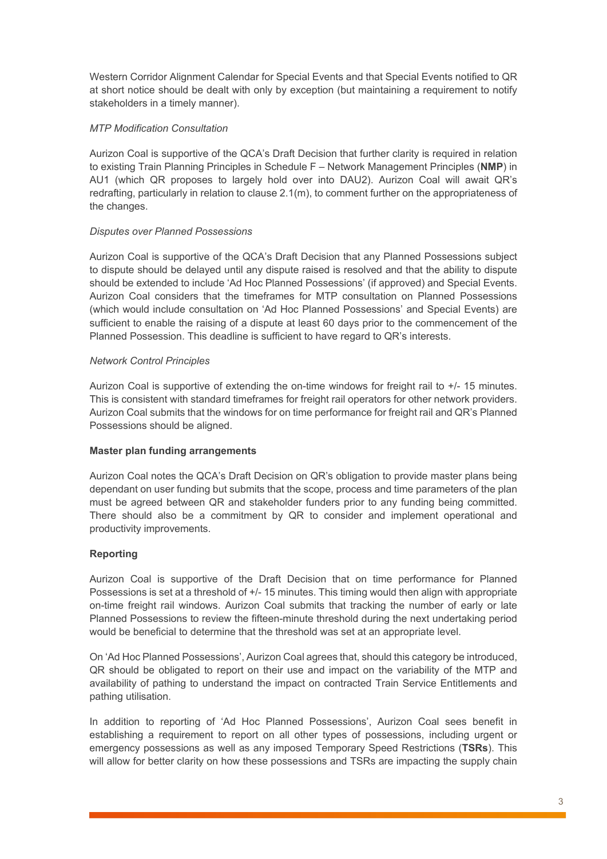Western Corridor Alignment Calendar for Special Events and that Special Events notified to QR at short notice should be dealt with only by exception (but maintaining a requirement to notify stakeholders in a timely manner).

## *MTP Modification Consultation*

Aurizon Coal is supportive of the QCA's Draft Decision that further clarity is required in relation to existing Train Planning Principles in Schedule F – Network Management Principles (**NMP**) in AU1 (which QR proposes to largely hold over into DAU2). Aurizon Coal will await QR's redrafting, particularly in relation to clause 2.1(m), to comment further on the appropriateness of the changes.

## *Disputes over Planned Possessions*

Aurizon Coal is supportive of the QCA's Draft Decision that any Planned Possessions subject to dispute should be delayed until any dispute raised is resolved and that the ability to dispute should be extended to include 'Ad Hoc Planned Possessions' (if approved) and Special Events. Aurizon Coal considers that the timeframes for MTP consultation on Planned Possessions (which would include consultation on 'Ad Hoc Planned Possessions' and Special Events) are sufficient to enable the raising of a dispute at least 60 days prior to the commencement of the Planned Possession. This deadline is sufficient to have regard to QR's interests.

## *Network Control Principles*

Aurizon Coal is supportive of extending the on-time windows for freight rail to +/- 15 minutes. This is consistent with standard timeframes for freight rail operators for other network providers. Aurizon Coal submits that the windows for on time performance for freight rail and QR's Planned Possessions should be aligned.

#### **Master plan funding arrangements**

Aurizon Coal notes the QCA's Draft Decision on QR's obligation to provide master plans being dependant on user funding but submits that the scope, process and time parameters of the plan must be agreed between QR and stakeholder funders prior to any funding being committed. There should also be a commitment by QR to consider and implement operational and productivity improvements.

# **Reporting**

Aurizon Coal is supportive of the Draft Decision that on time performance for Planned Possessions is set at a threshold of +/- 15 minutes. This timing would then align with appropriate on-time freight rail windows. Aurizon Coal submits that tracking the number of early or late Planned Possessions to review the fifteen-minute threshold during the next undertaking period would be beneficial to determine that the threshold was set at an appropriate level.

On 'Ad Hoc Planned Possessions', Aurizon Coal agrees that, should this category be introduced, QR should be obligated to report on their use and impact on the variability of the MTP and availability of pathing to understand the impact on contracted Train Service Entitlements and pathing utilisation.

In addition to reporting of 'Ad Hoc Planned Possessions', Aurizon Coal sees benefit in establishing a requirement to report on all other types of possessions, including urgent or emergency possessions as well as any imposed Temporary Speed Restrictions (**TSRs**). This will allow for better clarity on how these possessions and TSRs are impacting the supply chain